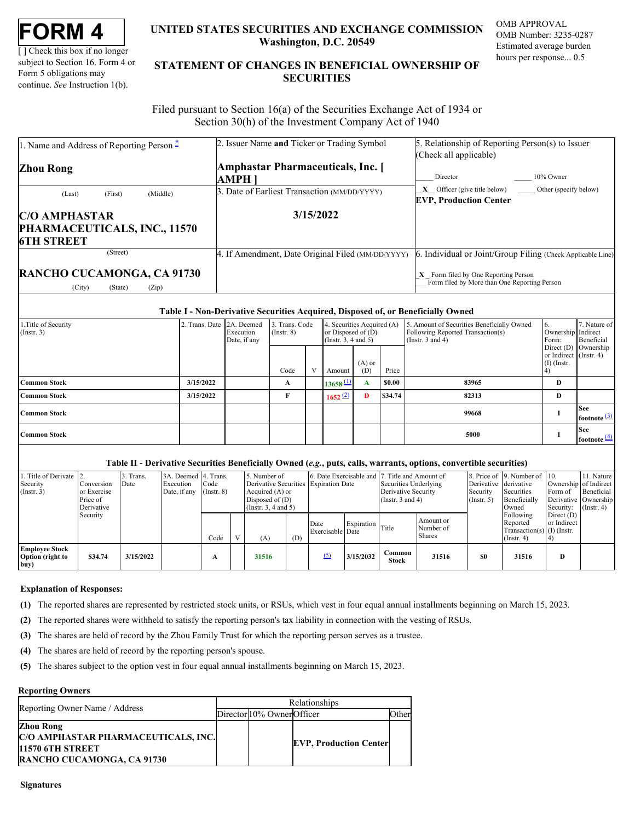| <b>FORM</b> |  |
|-------------|--|
|-------------|--|

[ ] Check this box if no longer subject to Section 16. Form 4 or Form 5 obligations may continue. *See* Instruction 1(b).

## **UNITED STATES SECURITIES AND EXCHANGE COMMISSION OMB APPROVAL Washington, D.C. 20549**

OMB Number: 3235-0287 Estimated average burden hours per response... 0.5

# **UNITED STATES SECURITIES AND EXCHANGE COMMISSION**<br>
UNITED STATES SECURITIES AND EXCHANGE COMMISSION<br>
UNERSITY OF SUBJECT AND THE STATEMENT OF CHANGES IN BENEFICIAL OWNERSHIP OF<br>
Form 5 obligations may<br>
continue. See Instr **STATEMENT OF CHANGES IN BENEFICIAL OWNERSHIP OF SECURITIES** TATES SECURITIES AND EXCHANGE COMMISSION OMB APPROVAL<br>Washington, D.C. 20549<br>Estimated average burden<br>ENT OF CHANGES IN BENEFICIAL OWNERSHIP OF<br>SECURITIES

 Filed pursuant to Section 16(a) of the Securities Exchange Act of 1934 or Section 30(h) of the Investment Company Act of 1940

| 1. Name and Address of Reporting Person –                                 | 2. Issuer Name and Ticker or Trading Symbol       | 5. Relationship of Reporting Person(s) to Issuer                                                                                                     |
|---------------------------------------------------------------------------|---------------------------------------------------|------------------------------------------------------------------------------------------------------------------------------------------------------|
| <b>Zhou Rong</b>                                                          | <b>Amphastar Pharmaceuticals, Inc.</b> [<br>AMPH  | (Check all applicable)<br>10% Owner<br>Director                                                                                                      |
| (Middle)<br>(Last)<br>(First)                                             | . Date of Earliest Transaction (MM/DD/YYYY)       | X Officer (give title below) Other (specify below)<br><b>EVP, Production Center</b>                                                                  |
| <b>C/O AMPHASTAR</b><br>PHARMACEUTICALS, INC., 11570<br><b>6TH STREET</b> | 3/15/2022                                         |                                                                                                                                                      |
| (Street)<br>RANCHO CUCAMONGA, CA 91730<br>(City)<br>(Zip)<br>(State)      | 4. If Amendment, Date Original Filed (MM/DD/YYYY) | . Individual or Joint/Group Filing (Check Applicable Line)<br>$X$ Form filed by One Reporting Person<br>Form filed by More than One Reporting Person |

#### **Table I - Non-Derivative Securities Acquired, Disposed of, or Beneficially Owned**

|                                          |                           |                           |                                   | . . |                                                                            |                 |              |                                                                                                          |                                         |                                       |
|------------------------------------------|---------------------------|---------------------------|-----------------------------------|-----|----------------------------------------------------------------------------|-----------------|--------------|----------------------------------------------------------------------------------------------------------|-----------------------------------------|---------------------------------------|
| 1. Title of Security<br>$($ Instr. 3 $)$ | 2. Trans. Date 2A. Deemed | Execution<br>Date, if any | 3. Trans. Code<br>$($ Instr. $8)$ |     | 4. Securities Acquired (A)<br>or Disposed of $(D)$<br>(Insert. 3, 4 and 5) |                 |              | 5. Amount of Securities Beneficially Owned<br>Following Reported Transaction(s)<br>(Instr. $3$ and $4$ ) | b.<br>Ownership Indirect<br>Form:       | 7. Nature of<br>Beneficial            |
|                                          |                           |                           | Code                              |     | Amount                                                                     | $(A)$ or<br>(D) | Price        |                                                                                                          | or Indirect (Instr. 4)<br>$(I)$ (Instr. | Direct $(D)$ Ownership                |
| <b>Common Stock</b>                      | 3/15/2022                 |                           | A                                 |     | $13658 \text{ L}$                                                          | A               | <b>SO.00</b> | 83965                                                                                                    | D                                       |                                       |
| <b>Common Stock</b>                      | 3/15/2022                 |                           |                                   |     | 1652 (2)                                                                   | $\mathbf{D}$    | \$34.74      | 82313                                                                                                    | D                                       |                                       |
| <b>Common Stock</b>                      |                           |                           |                                   |     |                                                                            |                 |              | 99668                                                                                                    |                                         | <b>See</b><br>footnote <sup>(3)</sup> |
| <b>Common Stock</b>                      |                           |                           |                                   |     |                                                                            |                 |              | 5000                                                                                                     |                                         | <b>See</b><br>footnote <sup>[4]</sup> |

#### **Table II - Derivative Securities Beneficially Owned (***e.g.***, puts, calls, warrants, options, convertible securities)**

| 1. Title of Derivate 2.<br>Security<br>(Insert. 3) | Conversion<br>or Exercise<br>Price of<br>Derivative | 3. Trans.<br>Date | 3A. Deemed 4. Trans.<br>Execution<br>Date, if any $($ Instr. 8 $)$ | Code | 5. Number of<br>Derivative Securities Expiration Date<br>Acquired (A) or<br>Disposed of $(D)$<br>(Insert. 3, 4 and 5) |     | 6. Date Exercisable and 7. Title and Amount of |                           | Securities Underlying<br>Derivative Security<br>(Instr. $3$ and $4$ ) |                                  | Derivative derivative<br>Security<br>(Insert. 5) | 8. Price of 9. Number of 10.<br>Securities<br>Beneficially<br>Owned          | Ownership of Indirect<br>Form of<br>Derivative Ownership<br>Security: | 11. Nature<br>Beneficial<br>$($ Instr. 4 $)$ |
|----------------------------------------------------|-----------------------------------------------------|-------------------|--------------------------------------------------------------------|------|-----------------------------------------------------------------------------------------------------------------------|-----|------------------------------------------------|---------------------------|-----------------------------------------------------------------------|----------------------------------|--------------------------------------------------|------------------------------------------------------------------------------|-----------------------------------------------------------------------|----------------------------------------------|
|                                                    | Security                                            |                   |                                                                    | Code | (A)                                                                                                                   | (D) | Date<br>Exercisable Date                       | Expiration $\Gamma$ Title |                                                                       | Amount or<br>Number of<br>Shares |                                                  | Following<br>Reported<br>Transaction(s) $(I)$ (Instr.<br>$\text{Instr. } 4)$ | Direct $(D)$<br>or Indirect                                           |                                              |
| <b>Employee Stock</b><br>Option (right to<br> buy) | \$34.74                                             | 3/15/2022         |                                                                    |      | 31516                                                                                                                 |     |                                                | 3/15/2032                 | Common<br><b>Stock</b>                                                | 31516                            | \$0                                              | 31516                                                                        | D                                                                     |                                              |

#### **Explanation of Responses:**

- <span id="page-0-0"></span>**(1)** The reported shares are represented by restricted stock units, or RSUs, which vest in four equal annual installments beginning on March 15, 2023.
- <span id="page-0-1"></span>**(2)** The reported shares were withheld to satisfy the reporting person's tax liability in connection with the vesting of RSUs.
- <span id="page-0-2"></span>**(3)** The shares are held of record by the Zhou Family Trust for which the reporting person serves as a trustee.
- <span id="page-0-3"></span>**(4)** The shares are held of record by the reporting person's spouse.
- <span id="page-0-4"></span>**(5)** The shares subject to the option vest in four equal annual installments beginning on March 15, 2023.

### **Reporting Owners**

| Reporting Owner Name / Address                                                                            | Relationships |                            |                               |       |  |  |  |  |
|-----------------------------------------------------------------------------------------------------------|---------------|----------------------------|-------------------------------|-------|--|--|--|--|
|                                                                                                           |               | Director 10% Owner Officer |                               | Other |  |  |  |  |
| Zhou Rong<br>C/O AMPHASTAR PHARMACEUTICALS, INC.<br>11570 6TH STREET<br><b>RANCHO CUCAMONGA, CA 91730</b> |               |                            | <b>EVP, Production Center</b> |       |  |  |  |  |